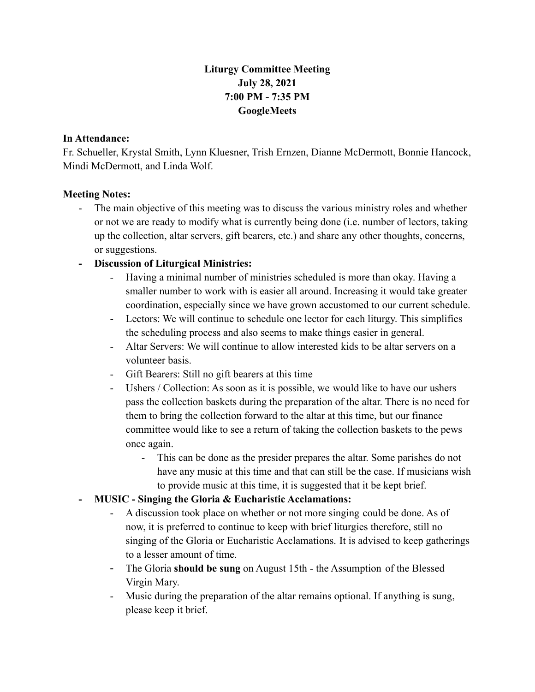# **Liturgy Committee Meeting July 28, 2021 7:00 PM - 7:35 PM GoogleMeets**

#### **In Attendance:**

Fr. Schueller, Krystal Smith, Lynn Kluesner, Trish Ernzen, Dianne McDermott, Bonnie Hancock, Mindi McDermott, and Linda Wolf.

### **Meeting Notes:**

- The main objective of this meeting was to discuss the various ministry roles and whether or not we are ready to modify what is currently being done (i.e. number of lectors, taking up the collection, altar servers, gift bearers, etc.) and share any other thoughts, concerns, or suggestions.

## **- Discussion of Liturgical Ministries:**

- Having a minimal number of ministries scheduled is more than okay. Having a smaller number to work with is easier all around. Increasing it would take greater coordination, especially since we have grown accustomed to our current schedule.
- Lectors: We will continue to schedule one lector for each liturgy. This simplifies the scheduling process and also seems to make things easier in general.
- Altar Servers: We will continue to allow interested kids to be altar servers on a volunteer basis.
- Gift Bearers: Still no gift bearers at this time
- Ushers / Collection: As soon as it is possible, we would like to have our ushers pass the collection baskets during the preparation of the altar. There is no need for them to bring the collection forward to the altar at this time, but our finance committee would like to see a return of taking the collection baskets to the pews once again.
	- This can be done as the presider prepares the altar. Some parishes do not have any music at this time and that can still be the case. If musicians wish to provide music at this time, it is suggested that it be kept brief.

### **- MUSIC - Singing the Gloria & Eucharistic Acclamations:**

- A discussion took place on whether or not more singing could be done. As of now, it is preferred to continue to keep with brief liturgies therefore, still no singing of the Gloria or Eucharistic Acclamations. It is advised to keep gatherings to a lesser amount of time.
- The Gloria **should be sung** on August 15th the Assumption of the Blessed Virgin Mary.
- Music during the preparation of the altar remains optional. If anything is sung, please keep it brief.